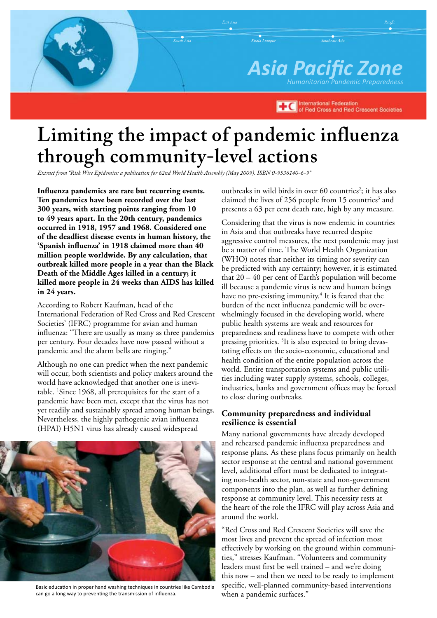*Asia Pacific Zone Humanitarian Pandemic Preparedness Kuala Lumpur Southeast Asia Pacific*

> **International Federation TEC** International Federation<br>of Red Cross and Red Crescent Societies

# **Limiting the impact of pandemic influenza through community-level actions**

*Extract from "Risk Wise Epidemics: a publication for 62nd World Health Assembly (May 2009). ISBN 0-9536140-6-9"*

**Influenza pandemics are rare but recurring events. Ten pandemics have been recorded over the last 300 years, with starting points ranging from 10 to 49 years apart. In the 20th century, pandemics occurred in 1918, 1957 and 1968. Considered one of the deadliest disease events in human history, the 'Spanish influenza' in 1918 claimed more than 40 million people worldwide. By any calculation, that outbreak killed more people in a year than the Black Death of the Middle Ages killed in a century; it killed more people in 24 weeks than AIDS has killed in 24 years.**

According to Robert Kaufman, head of the International Federation of Red Cross and Red Crescent Societies' (IFRC) programme for avian and human influenza: "There are usually as many as three pandemics per century. Four decades have now passed without a pandemic and the alarm bells are ringing."

Although no one can predict when the next pandemic will occur, both scientists and policy makers around the world have acknowledged that another one is inevitable. 1 Since 1968, all prerequisites for the start of a pandemic have been met, except that the virus has not yet readily and sustainably spread among human beings. Nevertheless, the highly pathogenic avian influenza (HPAI) H5N1 virus has already caused widespread



Basic education in proper hand washing techniques in countries like Cambodia can go a long way to preventing the transmission of influenza.

outbreaks in wild birds in over 60 countries<sup>2</sup>; it has also claimed the lives of 256 people from 15 countries<sup>3</sup> and presents a 63 per cent death rate, high by any measure.

Considering that the virus is now endemic in countries in Asia and that outbreaks have recurred despite aggressive control measures, the next pandemic may just be a matter of time. The World Health Organization (WHO) notes that neither its timing nor severity can be predicted with any certainty; however, it is estimated that  $20 - 40$  per cent of Earth's population will become ill because a pandemic virus is new and human beings have no pre-existing immunity.<sup>4</sup> It is feared that the burden of the next influenza pandemic will be overwhelmingly focused in the developing world, where public health systems are weak and resources for preparedness and readiness have to compete with other pressing priorities. <sup>5</sup>It is also expected to bring devastating effects on the socio-economic, educational and health condition of the entire population across the world. Entire transportation systems and public utilities including water supply systems, schools, colleges, industries, banks and government offices may be forced to close during outbreaks.

#### **Community preparedness and individual resilience is essential**

Many national governments have already developed and rehearsed pandemic influenza preparedness and response plans. As these plans focus primarily on health sector response at the central and national government level, additional effort must be dedicated to integrating non-health sector, non-state and non-government components into the plan, as well as further defining response at community level. This necessity rests at the heart of the role the IFRC will play across Asia and around the world.

"Red Cross and Red Crescent Societies will save the most lives and prevent the spread of infection most effectively by working on the ground within communities," stresses Kaufman. "Volunteers and community leaders must first be well trained – and we're doing this now – and then we need to be ready to implement specific, well-planned community-based interventions when a pandemic surfaces."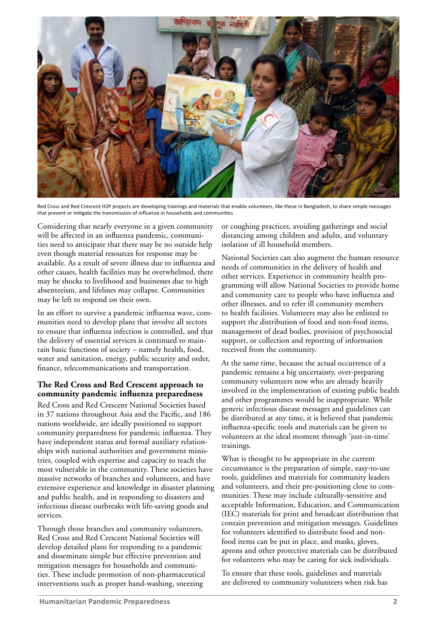

Red Cross and Red Crescent H2P projects are developing trainings and materials that enable volunteers, like these in Bangladesh, to share simple messages that prevent or mitigate the transmission of influenza in households and communities

Considering that nearly everyone in a given community will be affected in an influenza pandemic, communities need to anticipate that there may be no outside help even though material resources for response may be available. As a result of severe illness due to influenza and other causes, health facilities may be overwhelmed, there may be shocks to livelihood and businesses due to high absenteeism, and lifelines may collapse. Communities may be left to respond on their own.

In an effort to survive a pandemic influenza wave, communities need to develop plans that involve all sectors to ensure that influenza infection is controlled, and that the delivery of essential services is continued to maintain basic functions of society – namely health, food, water and sanitation, energy, public security and order, finance, telecommunications and transportation.

#### **The Red Cross and Red Crescent approach to community pandemic influenza preparedness**

Red Cross and Red Crescent National Societies based in 37 nations throughout Asia and the Pacific, and 186 nations worldwide, are ideally positioned to support community preparedness for pandemic influenza. They have independent status and formal auxiliary relationships with national authorities and government ministries, coupled with expertise and capacity to reach the most vulnerable in the community. These societies have massive networks of branches and volunteers, and have extensive experience and knowledge in disaster planning and public health, and in responding to disasters and infectious disease outbreaks with life-saving goods and services.

Through those branches and community volunteers, Red Cross and Red Crescent National Societies will develop detailed plans for responding to a pandemic and disseminate simple but effective prevention and mitigation messages for households and communities. These include promotion of non-pharmaceutical interventions such as proper hand-washing, sneezing

or coughing practices, avoiding gatherings and social distancing among children and adults, and voluntary isolation of ill household members.

National Societies can also augment the human resource needs of communities in the delivery of health and other services. Experience in community health programming will allow National Societies to provide home and community care to people who have influenza and other illnesses, and to refer ill community members to health facilities. Volunteers may also be enlisted to support the distribution of food and non-food items, management of dead bodies, provision of psychosocial support, or collection and reporting of information received from the community.

At the same time, because the actual occurrence of a pandemic remains a big uncertainty, over-preparing community volunteers now who are already heavily involved in the implementation of existing public health and other programmes would be inappropriate. While generic infectious disease messages and guidelines can be distributed at any time, it is believed that pandemic influenza-specific tools and materials can be given to volunteers at the ideal moment through 'just-in-time' trainings.

What is thought to be appropriate in the current circumstance is the preparation of simple, easy-to-use tools, guidelines and materials for community leaders and volunteers, and their pre-positioning close to communities. These may include culturally-sensitive and acceptable Information, Education, and Communication (IEC) materials for print and broadcast distribution that contain prevention and mitigation messages. Guidelines for volunteers identified to distribute food and nonfood items can be put in place, and masks, gloves, aprons and other protective materials can be distributed for volunteers who may be caring for sick individuals.

To ensure that these tools, guidelines and materials are delivered to community volunteers when risk has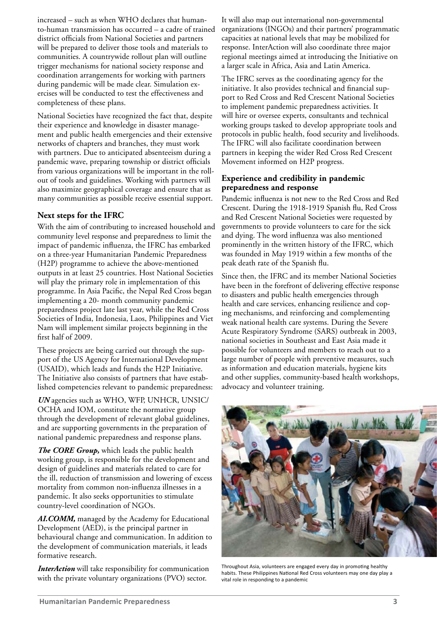increased – such as when WHO declares that humanto-human transmission has occurred – a cadre of trained district officials from National Societies and partners will be prepared to deliver those tools and materials to communities. A countrywide rollout plan will outline trigger mechanisms for national society response and coordination arrangements for working with partners during pandemic will be made clear. Simulation exercises will be conducted to test the effectiveness and completeness of these plans.

National Societies have recognized the fact that, despite their experience and knowledge in disaster management and public health emergencies and their extensive networks of chapters and branches, they must work with partners. Due to anticipated absenteeism during a pandemic wave, preparing township or district officials from various organizations will be important in the rollout of tools and guidelines. Working with partners will also maximize geographical coverage and ensure that as many communities as possible receive essential support.

## **Next steps for the IFRC**

With the aim of contributing to increased household and community level response and preparedness to limit the impact of pandemic influenza, the IFRC has embarked on a three-year Humanitarian Pandemic Preparedness (H2P) programme to achieve the above-mentioned outputs in at least 25 countries. Host National Societies will play the primary role in implementation of this programme. In Asia Pacific, the Nepal Red Cross began implementing a 20- month community pandemic preparedness project late last year, while the Red Cross Societies of India, Indonesia, Laos, Philippines and Viet Nam will implement similar projects beginning in the first half of 2009.

These projects are being carried out through the support of the US Agency for International Development (USAID), which leads and funds the H2P Initiative. The Initiative also consists of partners that have established competencies relevant to pandemic preparedness:

*UN* agencies such as WHO, WFP, UNHCR, UNSIC/ OCHA and IOM, constitute the normative group through the development of relevant global guidelines, and are supporting governments in the preparation of national pandemic preparedness and response plans.

*The CORE Group,* which leads the public health working group, is responsible for the development and design of guidelines and materials related to care for the ill, reduction of transmission and lowering of excess mortality from common non-influenza illnesses in a pandemic. It also seeks opportunities to stimulate country-level coordination of NGOs.

*AI.COMM,* managed by the Academy for Educational Development (AED), is the principal partner in behavioural change and communication. In addition to the development of communication materials, it leads formative research.

*InterAction* will take responsibility for communication with the private voluntary organizations (PVO) sector.

It will also map out international non-governmental organizations (INGOs) and their partners' programmatic capacities at national levels that may be mobilized for response. InterAction will also coordinate three major regional meetings aimed at introducing the Initiative on a larger scale in Africa, Asia and Latin America.

The IFRC serves as the coordinating agency for the initiative. It also provides technical and financial support to Red Cross and Red Crescent National Societies to implement pandemic preparedness activities. It will hire or oversee experts, consultants and technical working groups tasked to develop appropriate tools and protocols in public health, food security and livelihoods. The IFRC will also facilitate coordination between partners in keeping the wider Red Cross Red Crescent Movement informed on H2P progress.

### **Experience and credibility in pandemic preparedness and response**

Pandemic influenza is not new to the Red Cross and Red Crescent. During the 1918-1919 Spanish flu, Red Cross and Red Crescent National Societies were requested by governments to provide volunteers to care for the sick and dying. The word influenza was also mentioned prominently in the written history of the IFRC, which was founded in May 1919 within a few months of the peak death rate of the Spanish flu.

Since then, the IFRC and its member National Societies have been in the forefront of delivering effective response to disasters and public health emergencies through health and care services, enhancing resilience and coping mechanisms, and reinforcing and complementing weak national health care systems. During the Severe Acute Respiratory Syndrome (SARS) outbreak in 2003, national societies in Southeast and East Asia made it possible for volunteers and members to reach out to a large number of people with preventive measures, such as information and education materials, hygiene kits and other supplies, community-based health workshops, advocacy and volunteer training.



Throughout Asia, volunteers are engaged every day in promoting healthy habits. These Philippines National Red Cross volunteers may one day play a vital role in responding to a pandemic